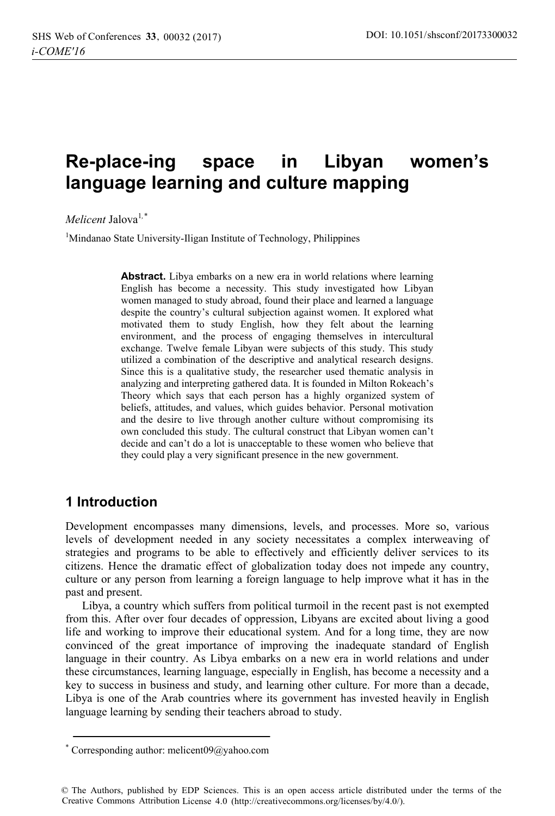# **Re-place-ing space in Libyan women's language learning and culture mapping**

*Melicent* Jalova1*,\**

<sup>1</sup>Mindanao State University-Iligan Institute of Technology, Philippines

**Abstract.** Libya embarks on a new era in world relations where learning English has become a necessity. This study investigated how Libyan women managed to study abroad, found their place and learned a language despite the country's cultural subjection against women. It explored what motivated them to study English, how they felt about the learning environment, and the process of engaging themselves in intercultural exchange. Twelve female Libyan were subjects of this study. This study utilized a combination of the descriptive and analytical research designs. Since this is a qualitative study, the researcher used thematic analysis in analyzing and interpreting gathered data. It is founded in Milton Rokeach's Theory which says that each person has a highly organized system of beliefs, attitudes, and values, which guides behavior. Personal motivation and the desire to live through another culture without compromising its own concluded this study. The cultural construct that Libyan women can't decide and can't do a lot is unacceptable to these women who believe that they could play a very significant presence in the new government.

### **1 Introduction**

Development encompasses many dimensions, levels, and processes. More so, various levels of development needed in any society necessitates a complex interweaving of strategies and programs to be able to effectively and efficiently deliver services to its citizens. Hence the dramatic effect of globalization today does not impede any country, culture or any person from learning a foreign language to help improve what it has in the past and present.

Libya, a country which suffers from political turmoil in the recent past is not exempted from this. After over four decades of oppression, Libyans are excited about living a good life and working to improve their educational system. And for a long time, they are now convinced of the great importance of improving the inadequate standard of English language in their country. As Libya embarks on a new era in world relations and under these circumstances, learning language, especially in English, has become a necessity and a key to success in business and study, and learning other culture. For more than a decade, Libya is one of the Arab countries where its government has invested heavily in English language learning by sending their teachers abroad to study.

<sup>\*</sup> Corresponding author: melicent09@yahoo.com

<sup>©</sup> The Authors, published by EDP Sciences. This is an open access article distributed under the terms of the Creative Commons Attribution License 4.0 (http://creativecommons.org/licenses/by/4.0/).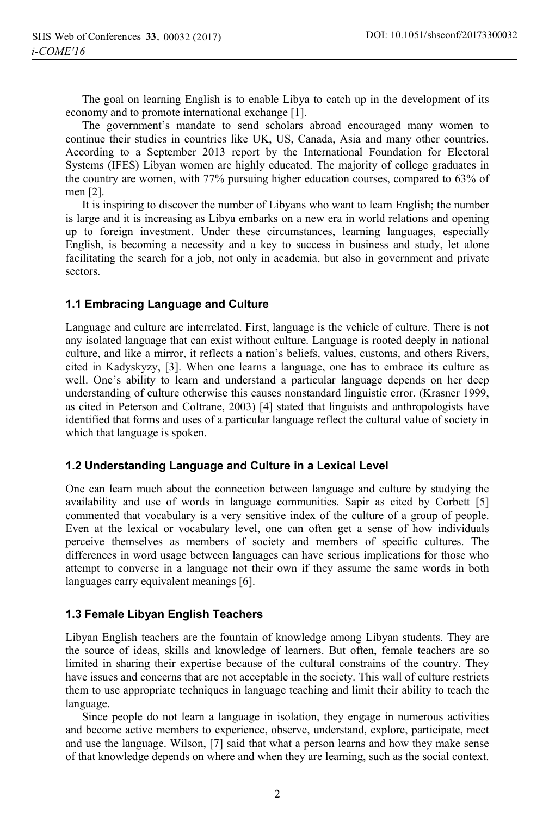The goal on learning English is to enable Libya to catch up in the development of its economy and to promote international exchange [1].

The government's mandate to send scholars abroad encouraged many women to continue their studies in countries like UK, US, Canada, Asia and many other countries. According to a September 2013 report by the International Foundation for Electoral Systems (IFES) Libyan women are highly educated. The majority of college graduates in the country are women, with 77% pursuing higher education courses, compared to 63% of men [2].

It is inspiring to discover the number of Libyans who want to learn English; the number is large and it is increasing as Libya embarks on a new era in world relations and opening up to foreign investment. Under these circumstances, learning languages, especially English, is becoming a necessity and a key to success in business and study, let alone facilitating the search for a job, not only in academia, but also in government and private sectors.

#### **1.1 Embracing Language and Culture**

Language and culture are interrelated. First, language is the vehicle of culture. There is not any isolated language that can exist without culture. Language is rooted deeply in national culture, and like a mirror, it reflects a nation's beliefs, values, customs, and others Rivers, cited in Kadyskyzy, [3]. When one learns a language, one has to embrace its culture as well. One's ability to learn and understand a particular language depends on her deep understanding of culture otherwise this causes nonstandard linguistic error. (Krasner 1999, as cited in Peterson and Coltrane, 2003) [4] stated that linguists and anthropologists have identified that forms and uses of a particular language reflect the cultural value of society in which that language is spoken.

#### **1.2 Understanding Language and Culture in a Lexical Level**

One can learn much about the connection between language and culture by studying the availability and use of words in language communities. Sapir as cited by Corbett [5] commented that vocabulary is a very sensitive index of the culture of a group of people. Even at the lexical or vocabulary level, one can often get a sense of how individuals perceive themselves as members of society and members of specific cultures. The differences in word usage between languages can have serious implications for those who attempt to converse in a language not their own if they assume the same words in both languages carry equivalent meanings [6].

### **1.3 Female Libyan English Teachers**

Libyan English teachers are the fountain of knowledge among Libyan students. They are the source of ideas, skills and knowledge of learners. But often, female teachers are so limited in sharing their expertise because of the cultural constrains of the country. They have issues and concerns that are not acceptable in the society. This wall of culture restricts them to use appropriate techniques in language teaching and limit their ability to teach the language.

Since people do not learn a language in isolation, they engage in numerous activities and become active members to experience, observe, understand, explore, participate, meet and use the language. Wilson, [7] said that what a person learns and how they make sense of that knowledge depends on where and when they are learning, such as the social context.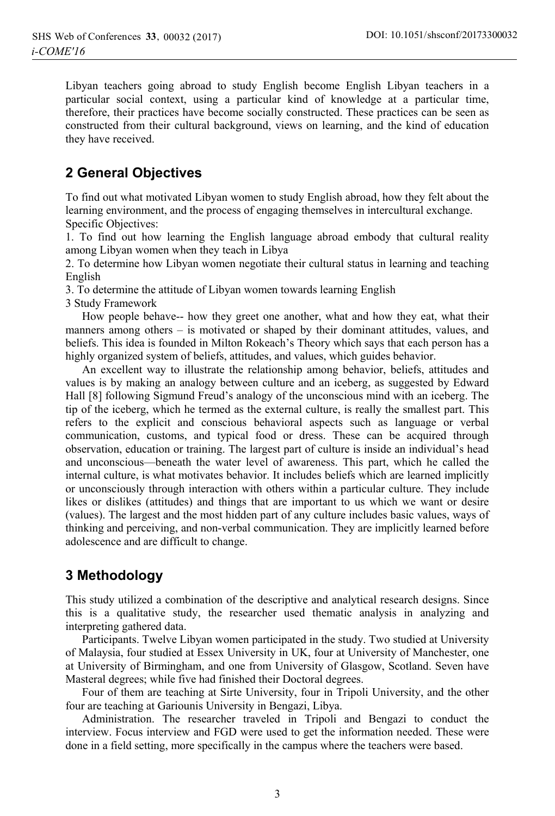Libyan teachers going abroad to study English become English Libyan teachers in a particular social context, using a particular kind of knowledge at a particular time, therefore, their practices have become socially constructed. These practices can be seen as constructed from their cultural background, views on learning, and the kind of education they have received.

## **2 General Objectives**

To find out what motivated Libyan women to study English abroad, how they felt about the learning environment, and the process of engaging themselves in intercultural exchange. Specific Objectives:

1. To find out how learning the English language abroad embody that cultural reality among Libyan women when they teach in Libya

2. To determine how Libyan women negotiate their cultural status in learning and teaching English

3. To determine the attitude of Libyan women towards learning English

3 Study Framework

How people behave-- how they greet one another, what and how they eat, what their manners among others – is motivated or shaped by their dominant attitudes, values, and beliefs. This idea is founded in Milton Rokeach's Theory which says that each person has a highly organized system of beliefs, attitudes, and values, which guides behavior.

An excellent way to illustrate the relationship among behavior, beliefs, attitudes and values is by making an analogy between culture and an iceberg, as suggested by Edward Hall [8] following Sigmund Freud's analogy of the unconscious mind with an iceberg. The tip of the iceberg, which he termed as the external culture, is really the smallest part. This refers to the explicit and conscious behavioral aspects such as language or verbal communication, customs, and typical food or dress. These can be acquired through observation, education or training. The largest part of culture is inside an individual's head and unconscious—beneath the water level of awareness. This part, which he called the internal culture, is what motivates behavior. It includes beliefs which are learned implicitly or unconsciously through interaction with others within a particular culture. They include likes or dislikes (attitudes) and things that are important to us which we want or desire (values). The largest and the most hidden part of any culture includes basic values, ways of thinking and perceiving, and non-verbal communication. They are implicitly learned before adolescence and are difficult to change.

# **3 Methodology**

This study utilized a combination of the descriptive and analytical research designs. Since this is a qualitative study, the researcher used thematic analysis in analyzing and interpreting gathered data.

Participants. Twelve Libyan women participated in the study. Two studied at University of Malaysia, four studied at Essex University in UK, four at University of Manchester, one at University of Birmingham, and one from University of Glasgow, Scotland. Seven have Masteral degrees; while five had finished their Doctoral degrees.

Four of them are teaching at Sirte University, four in Tripoli University, and the other four are teaching at Gariounis University in Bengazi, Libya.

Administration. The researcher traveled in Tripoli and Bengazi to conduct the interview. Focus interview and FGD were used to get the information needed. These were done in a field setting, more specifically in the campus where the teachers were based.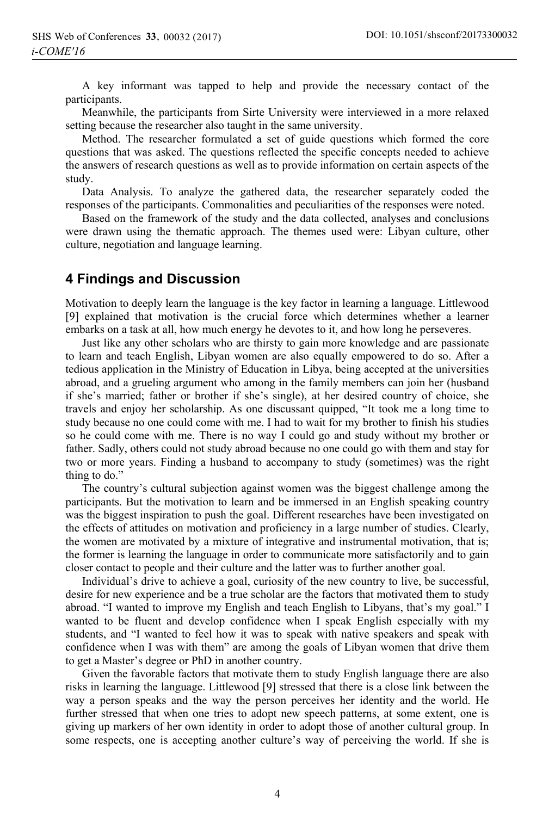A key informant was tapped to help and provide the necessary contact of the participants.

Meanwhile, the participants from Sirte University were interviewed in a more relaxed setting because the researcher also taught in the same university.

Method. The researcher formulated a set of guide questions which formed the core questions that was asked. The questions reflected the specific concepts needed to achieve the answers of research questions as well as to provide information on certain aspects of the study.

Data Analysis. To analyze the gathered data, the researcher separately coded the responses of the participants. Commonalities and peculiarities of the responses were noted.

Based on the framework of the study and the data collected, analyses and conclusions were drawn using the thematic approach. The themes used were: Libyan culture, other culture, negotiation and language learning.

### **4 Findings and Discussion**

Motivation to deeply learn the language is the key factor in learning a language. Littlewood [9] explained that motivation is the crucial force which determines whether a learner embarks on a task at all, how much energy he devotes to it, and how long he perseveres.

Just like any other scholars who are thirsty to gain more knowledge and are passionate to learn and teach English, Libyan women are also equally empowered to do so. After a tedious application in the Ministry of Education in Libya, being accepted at the universities abroad, and a grueling argument who among in the family members can join her (husband if she's married; father or brother if she's single), at her desired country of choice, she travels and enjoy her scholarship. As one discussant quipped, "It took me a long time to study because no one could come with me. I had to wait for my brother to finish his studies so he could come with me. There is no way I could go and study without my brother or father. Sadly, others could not study abroad because no one could go with them and stay for two or more years. Finding a husband to accompany to study (sometimes) was the right thing to do."

The country's cultural subjection against women was the biggest challenge among the participants. But the motivation to learn and be immersed in an English speaking country was the biggest inspiration to push the goal. Different researches have been investigated on the effects of attitudes on motivation and proficiency in a large number of studies. Clearly, the women are motivated by a mixture of integrative and instrumental motivation, that is; the former is learning the language in order to communicate more satisfactorily and to gain closer contact to people and their culture and the latter was to further another goal.

Individual's drive to achieve a goal, curiosity of the new country to live, be successful, desire for new experience and be a true scholar are the factors that motivated them to study abroad. "I wanted to improve my English and teach English to Libyans, that's my goal." I wanted to be fluent and develop confidence when I speak English especially with my students, and "I wanted to feel how it was to speak with native speakers and speak with confidence when I was with them" are among the goals of Libyan women that drive them to get a Master's degree or PhD in another country.

Given the favorable factors that motivate them to study English language there are also risks in learning the language. Littlewood [9] stressed that there is a close link between the way a person speaks and the way the person perceives her identity and the world. He further stressed that when one tries to adopt new speech patterns, at some extent, one is giving up markers of her own identity in order to adopt those of another cultural group. In some respects, one is accepting another culture's way of perceiving the world. If she is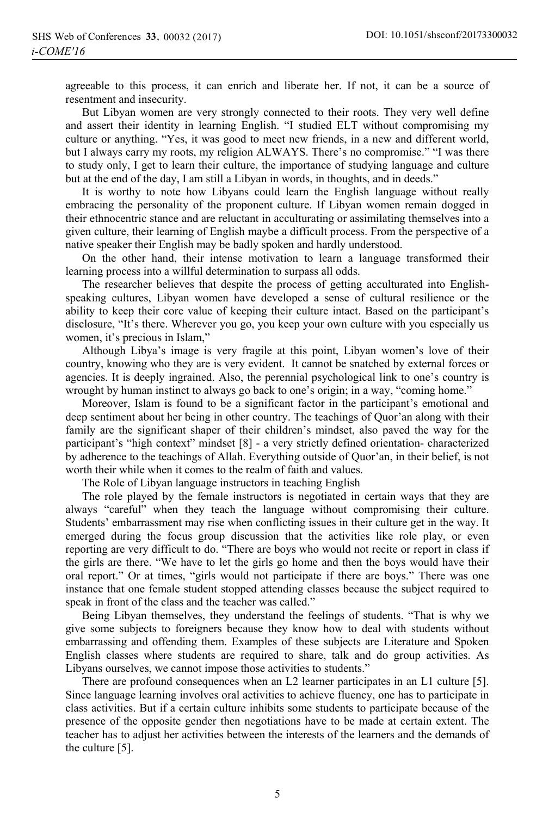agreeable to this process, it can enrich and liberate her. If not, it can be a source of resentment and insecurity.

But Libyan women are very strongly connected to their roots. They very well define and assert their identity in learning English. "I studied ELT without compromising my culture or anything. "Yes, it was good to meet new friends, in a new and different world, but I always carry my roots, my religion ALWAYS. There's no compromise." "I was there to study only, I get to learn their culture, the importance of studying language and culture but at the end of the day, I am still a Libyan in words, in thoughts, and in deeds."

It is worthy to note how Libyans could learn the English language without really embracing the personality of the proponent culture. If Libyan women remain dogged in their ethnocentric stance and are reluctant in acculturating or assimilating themselves into a given culture, their learning of English maybe a difficult process. From the perspective of a native speaker their English may be badly spoken and hardly understood.

On the other hand, their intense motivation to learn a language transformed their learning process into a willful determination to surpass all odds.

The researcher believes that despite the process of getting acculturated into Englishspeaking cultures, Libyan women have developed a sense of cultural resilience or the ability to keep their core value of keeping their culture intact. Based on the participant's disclosure, "It's there. Wherever you go, you keep your own culture with you especially us women, it's precious in Islam,"

Although Libya's image is very fragile at this point, Libyan women's love of their country, knowing who they are is very evident. It cannot be snatched by external forces or agencies. It is deeply ingrained. Also, the perennial psychological link to one's country is wrought by human instinct to always go back to one's origin; in a way, "coming home."

Moreover, Islam is found to be a significant factor in the participant's emotional and deep sentiment about her being in other country. The teachings of Quor'an along with their family are the significant shaper of their children's mindset, also paved the way for the participant's "high context" mindset [8] - a very strictly defined orientation- characterized by adherence to the teachings of Allah. Everything outside of Quor'an, in their belief, is not worth their while when it comes to the realm of faith and values.

The Role of Libyan language instructors in teaching English

The role played by the female instructors is negotiated in certain ways that they are always "careful" when they teach the language without compromising their culture. Students' embarrassment may rise when conflicting issues in their culture get in the way. It emerged during the focus group discussion that the activities like role play, or even reporting are very difficult to do. "There are boys who would not recite or report in class if the girls are there. "We have to let the girls go home and then the boys would have their oral report." Or at times, "girls would not participate if there are boys." There was one instance that one female student stopped attending classes because the subject required to speak in front of the class and the teacher was called."

Being Libyan themselves, they understand the feelings of students. "That is why we give some subjects to foreigners because they know how to deal with students without embarrassing and offending them. Examples of these subjects are Literature and Spoken English classes where students are required to share, talk and do group activities. As Libyans ourselves, we cannot impose those activities to students."

There are profound consequences when an L2 learner participates in an L1 culture [5]. Since language learning involves oral activities to achieve fluency, one has to participate in class activities. But if a certain culture inhibits some students to participate because of the presence of the opposite gender then negotiations have to be made at certain extent. The teacher has to adjust her activities between the interests of the learners and the demands of the culture [5].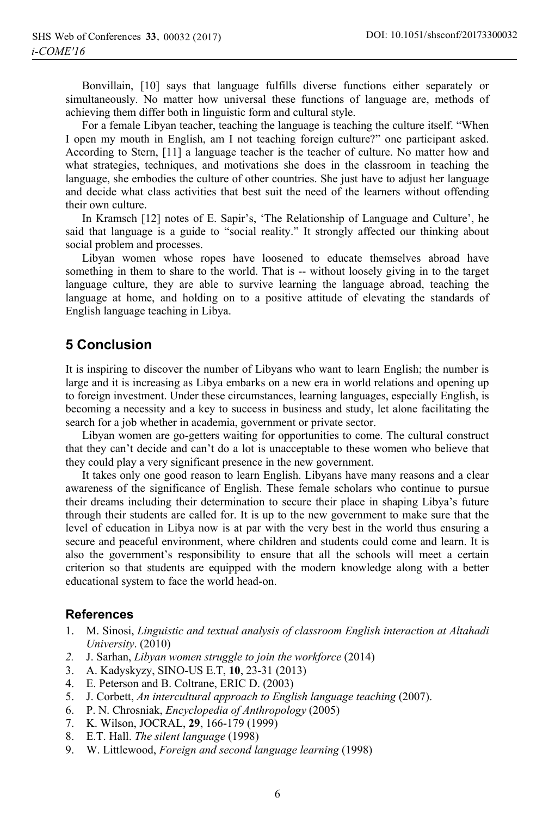Bonvillain, [10] says that language fulfills diverse functions either separately or simultaneously. No matter how universal these functions of language are, methods of achieving them differ both in linguistic form and cultural style.

For a female Libyan teacher, teaching the language is teaching the culture itself. "When I open my mouth in English, am I not teaching foreign culture?" one participant asked. According to Stern, [11] a language teacher is the teacher of culture. No matter how and what strategies, techniques, and motivations she does in the classroom in teaching the language, she embodies the culture of other countries. She just have to adjust her language and decide what class activities that best suit the need of the learners without offending their own culture.

In Kramsch [12] notes of E. Sapir's, 'The Relationship of Language and Culture', he said that language is a guide to "social reality." It strongly affected our thinking about social problem and processes.

Libyan women whose ropes have loosened to educate themselves abroad have something in them to share to the world. That is -- without loosely giving in to the target language culture, they are able to survive learning the language abroad, teaching the language at home, and holding on to a positive attitude of elevating the standards of English language teaching in Libya.

### **5 Conclusion**

It is inspiring to discover the number of Libyans who want to learn English; the number is large and it is increasing as Libya embarks on a new era in world relations and opening up to foreign investment. Under these circumstances, learning languages, especially English, is becoming a necessity and a key to success in business and study, let alone facilitating the search for a job whether in academia, government or private sector.

Libyan women are go-getters waiting for opportunities to come. The cultural construct that they can't decide and can't do a lot is unacceptable to these women who believe that they could play a very significant presence in the new government.

It takes only one good reason to learn English. Libyans have many reasons and a clear awareness of the significance of English. These female scholars who continue to pursue their dreams including their determination to secure their place in shaping Libya's future through their students are called for. It is up to the new government to make sure that the level of education in Libya now is at par with the very best in the world thus ensuring a secure and peaceful environment, where children and students could come and learn. It is also the government's responsibility to ensure that all the schools will meet a certain criterion so that students are equipped with the modern knowledge along with a better educational system to face the world head-on.

### **References**

- 1. M. Sinosi, *Linguistic and textual analysis of classroom English interaction at Altahadi University*. (2010)
- *2.* J. Sarhan, *Libyan women struggle to join the workforce* (2014)
- 3. A. Kadyskyzy, SINO-US E.T, **10**, 23-31 (2013)
- 4. E. Peterson and B. Coltrane, ERIC D. (2003)
- 5. J. Corbett, *An intercultural approach to English language teaching* (2007).
- 6. P. N. Chrosniak, *Encyclopedia of Anthropology* (2005)
- 7. K. Wilson, JOCRAL, **29**, 166-179 (1999)
- 8. E.T. Hall. *The silent language* (1998)
- 9. W. Littlewood, *Foreign and second language learning* (1998)